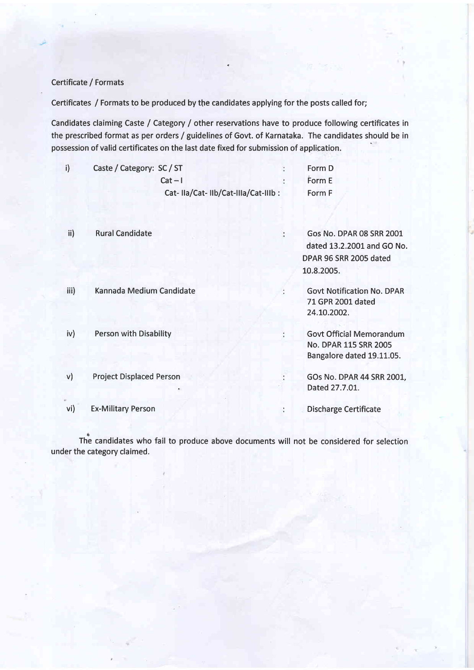### Certificate / Formats

Certificates / Formats to be produced by the candidates applying for the posts called for;

Candidates claiming Caste / Category / other reservations have to produce following certificates in the prescribed format as per orders / guidelines of Govt. of Karnataka. The candidates should be in possession of valid certificates on the last date fixed for submission of application.

| Caste / Category: SC / ST          | Form D |
|------------------------------------|--------|
| $Cat - I$                          | Form E |
| Cat-IIa/Cat-IIb/Cat-IIIa/Cat-IIIb: | Form F |

| ii)    | <b>Rural Candidate</b>          | <b>Gos No. DPAR 08 SRR 2001</b><br>dated 13.2.2001 and GO No.                         |  |
|--------|---------------------------------|---------------------------------------------------------------------------------------|--|
|        |                                 | DPAR 96 SRR 2005 dated                                                                |  |
|        |                                 | 10.8.2005.                                                                            |  |
| iii)   | Kannada Medium Candidate        | <b>Govt Notification No. DPAR</b><br>71 GPR 2001 dated<br>24.10.2002.                 |  |
| iv)    | <b>Person with Disability</b>   | <b>Govt Official Memorandum</b><br>No. DPAR 115 SRR 2005<br>Bangalore dated 19.11.05. |  |
| $\vee$ | <b>Project Displaced Person</b> | GOs No. DPAR 44 SRR 2001,<br>Dated 27.7.01.                                           |  |
| vi)    | <b>Ex-Military Person</b>       | <b>Discharge Certificate</b>                                                          |  |

The candidates who fail to produce above documents will not be considered for selection under the category claimed.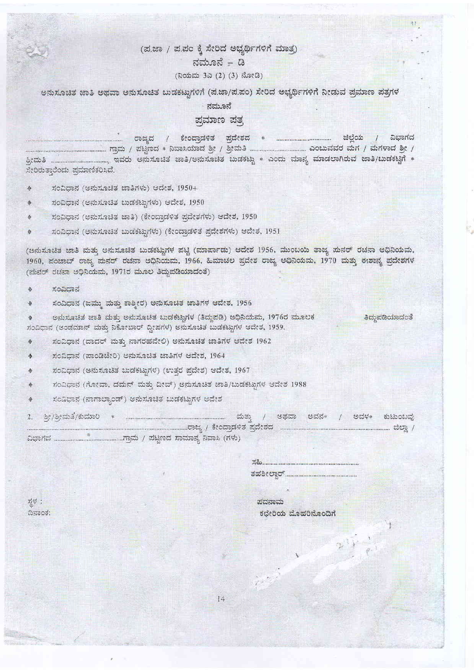## (ಪ.ಜಾ / ಪ.ಪಂ ಕ್ಕೆ ಸೇರಿದ ಅಭ್ಯರ್ಥಿಗಳಿಗೆ ಮಾತ್ರ)

### ನಮೂನೆ – ಡಿ

### (ನಿಯಮ 3ಎ (2) (3) ನೋಡಿ)

ಅನುಸೂಚಿತ ಜಾತಿ ಅಥವಾ ಅನುಸೂಚಿತ ಬುಡಕಟ್ಟುಗಳಿಗೆ (ಪ.ಜಾ/ಪ.ಪಂ) ಸೇರಿದ ಅಭ್ಯರ್ಥಿಗಳಿಗೆ ನೀಡುವ ಪ್ರಮಾಣ ಪತ್ರಗಳ

#### ನಮೂನೆ

### ಪ್ರಮಾಣ ಪತ್ತ

ಸೇರಿರುತ್ತಾರೆಂದು ಪ್ರಮಾಣಿಕರಿಸಿದೆ.

- ಸಂವಿಧಾನ (ಅನುಸೂಚಿತ ಚಾತಿಗಳು) ಆದೇಶ, 1950+ ٠
- ಸಂವಿಧಾನ (ಅನುಸೂಚಿತ ಬುಡಕಟ್ಟುಗಳು) ಆದೇಶ, 1950 参
- ಸಂವಿಧಾನ (ಅನುಸೂಚಿತ ಜಾತಿ) (ಕೇಂದ್ರಾಡಳಿತ ಪ್ರದೇಶಗಳು) ಆದೇಶ, 1950 秦
- ಸಂವಿಧಾನ (ಅನುಸೂಚಿತ ಬುಡಕಟ್ಟುಗಳು) (ಕೇಂದ್ರಾಡಳಿತ ಪ್ರದೇಶಗಳು) ಆದೇಶ, 1951 ♦

(ಅನುಸೂಚಿತ ಜಾತಿ ಮತ್ತು ಅನುಸೂಚಿತ ಬುಡಕಟ್ಟುಗಳ ಪಟ್ಟಿ (ಮಾರ್ಪಾಡು) ಆದೇಶ 1956, ಮುಂಬಯಿ ತಾಜ್ಯ ಪುನರ್ ರಚನಾ ಅಧಿನಿಯಮ, 1960, ಪಂಚಾಬ್ ರಾಜ್ಯ ಮನರ್ ರಚನಾ ಅಧಿನಿಯಮ, 1966, ಹಿಮಾಚಲ ಪ್ರದೇಶ ರಾಜ್ಯ ಅಧಿನಿಯಮ, 1970 ಮತ್ತು ಈಶಾನ್ಯ ಪ್ರದೇಶಗಳ (ಮನರ್ ರಚನಾ ಅಧಿನಿಯಮ, 1971ರ ಮೂಲ ತಿದ್ದುಪಡಿಯಾದಂತೆ)

#### ಸಂವಿಧಾನ 办

정성 : ದಿನಾಂಕ:

- ಸಂವಿಧಾನ (ಜಮ್ಮು ಮತ್ತು ಕಾಶ್ಮೀರ) ಅನುಸೂಚಿತ ಜಾತಿಗಳ ಆದೇಶ, 1956 ۰
- ಅನುಸೂಚಿತ ಜಾತಿ ಮತ್ತು ಅನುಸೂಚಿತ ಬುಡಕಟ್ಟುಗಳ (ತಿದ್ದುಪಡಿ) ಅಧಿನಿಯಮ, 1976ರ ಮೂಲಕ <mark>ತಿದ್ದುಪಡಿಯಾದಂತೆ</mark>  $\Phi$ ಸಂವಿಧಾನ (ಅಂಡಮಾನ್ ಮತ್ತು ನಿಕೋಬಾರ್ ದ್ವೀಪಗಳ) ಅನುಸೂಚಿತ ಬುಡಕಟ್ಟುಗಳ ಆದೇಶ, 1959.
- ಸಂವಿಧಾನ (ದಾದರ್ ಮತ್ತು ನಾಗರಹವೇಲಿ) ಅನುಸೂಚಿತ ಜಾತಿಗಳ ಆದೇಶ 1962 ♦
- ಸಂವಿಧಾನ (ಪಾಂಡಿಚೇರಿ) ಅನುಸೂಚಿತ ಚಾತಿಗಳ ಆದೇಶ, 1964  $\triangle$
- ಸಂವಿಧಾನ (ಅನುಸೂಚಿತ ಬುಡಕಟ್ಟುಗಳ) (ಉತ್ತರ ಪ್ರದೇಶ) ಆದೇಶ, 1967 療
- ಸಂವಿಧಾನ (ಗೋವಾ, ದಮನ್ ಮತ್ತು ದೀವ್) ಅನುಸೂಚಿತ ಜಾತಿ/ಬುಡಕಟ್ಟುಗಳ ಆದೇಶ 1988 ♦
- ಸಂವಿಧಾನ (ನಾಗಾಲ್ಯಾಂಡ್) ಅನುಸೂಚಿತ ಬುಡಕಟ್ಟುಗಳ ಆದೇಶ ◈

 $2.$ 

| $\mathbb{Z}^2_{\infty}$ |                     |
|-------------------------|---------------------|
| ತಹಶೀಲ್ದಾರ್.             |                     |
|                         |                     |
| ಪದನಾಮ                   |                     |
|                         | ಕಛೇರಿಯ ಮೊಹರಿನೊಂದಿಗೆ |
|                         |                     |
|                         |                     |
|                         |                     |
|                         |                     |
|                         |                     |
|                         |                     |

14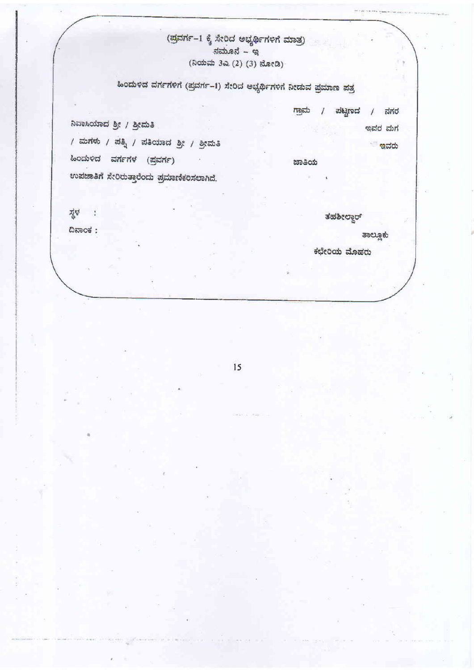### (ಪ್ರವರ್ಗ–1 ಕ್ಕೆ ಸೇರಿದ ಅಭ್ಯರ್ಥಿಗಳಿಗೆ ಮಾತ್ರ)  $\pi$ (ನಿಯಮ 3ಎ (2) (3) ನೋಡಿ)

# ಹಿಂದುಳಿದ ವರ್ಗಗಳಿಗೆ (ಪ್ರವರ್ಗ-1) ಸೇರಿದ ಅಭ್ಯರ್ಥಿಗಳಿಗೆ ನೀಡುವ ಪ್ರಮಾಣ ಪತ್ರ

ಗ್ರಾಮ / ಪಟ್ಟಣದ / ನಗರ

ಜಾತಿಯ

ನಿವಾಸಿಯಾದ ಶ್ರೀ / ಶ್ರೀಮತಿ

/ ಮಗಳು / ಪತ್ನಿ / ಪತಿಯಾದ ಶ್ರೀ / ಶ್ರೀಮತಿ

ಹಿಂದುಳಿದ ವರ್ಗಗಳ (ಪ್ರವರ್ಗ)

ಉಪಚಾತಿಗೆ ಸೇರಿರುತ್ತಾರೆಂದು ಪ್ರಮಾಣಿಕರಿಸಲಾಗಿದೆ.

젆 :

 $\Omega$ ನಾಂಕ:

ತಹಶೀಲ್ದಾರ್

ತಾಲ್ಲೂಕು

ಇವರ ಮಗ

ಿ ಇವರು

ಕಛೇರಿಯ ಮೊಹರು

15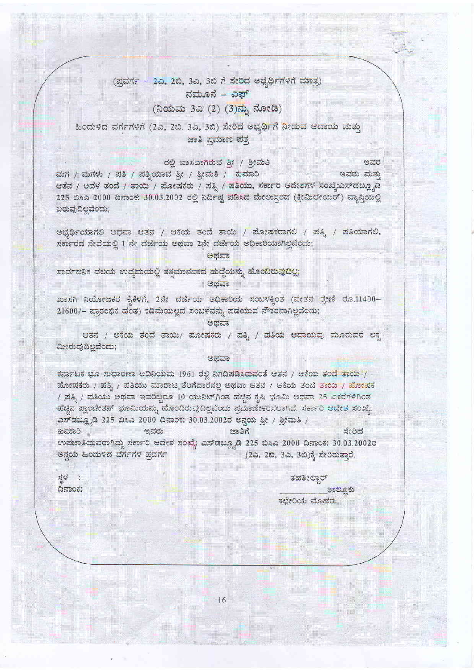### (ಪ್ರವರ್ಗ – 2ಎ, 2ಬಿ, 3ಎ, 3ಬಿ ಗೆ ಸೇರಿದ ಅಭ್ಯರ್ಥಿಗಳಿಗೆ ಮಾತೃ) ನಮೂನೆ – ಎಪ್ (ನಿಯಮ 3ಎ (2) (3)ನ್ನು ನೋಡಿ)

### ಹಿಂದುಳಿದ ವರ್ಗಗಳಿಗೆ (2ಎ, 2ಬಿ. 3ಎ, 3ಬಿ) ಸೇರಿದ ಅಭ್ಯರ್ಥಿಗೆ ನೀಡುವ ಆದಾಯ ಮತ್ತು ಜಾತಿ ಪ್ರಮಾಣ ಪತ್ರ

### ರಲಿ ವಾಸವಾಗಿರುವ ಶ್ರೀ / ಶ್ರೀಮತಿ

ಮಗ / ಮಗಳು / ಪತಿ / ಪತ್ರಿಯಾದ ಶ್ರೀ / ಶ್ರೀಮತಿ / ಕುಮಾರಿ ಇವರು ಮತು ಆತನ / ಅವಳ ತಂದೆ / ತಾಯಿ / ಪೋಷಕರು / ಪತ್ನಿ / ಪತಿಯು, ಸರ್ಕಾರಿ ಆದೇಶಗಳ ಸಂಖ್ಯೆಎಸ್ಡಬ್ಲ್ಯೂಡಿ 225 ಬಿಸಿಎ 2000 ದಿನಾಂಕ: 30.03.2002 ರಲ್ಲಿ ನಿರ್ದಿಷ್ಟ ಪಡಿಸಿದ ಮೇಲುಸ್ತರದ (ಕ್ರೀಮಿಲೇಯರ್) ವ್ಯಾಪ್ತಿಯಲ್ಲಿ ಬರುವುದಿಲ್ಲವೆಂದು;

ಅಭ್ಯರ್ಥಿಯಾಗಲಿ ಅಥವಾ ಆತನ / ಆಕೆಯ ತಂದೆ ತಾಯಿ / ಪೋಷಕರಾಗಲಿ / ಪತ್ರಿ / ಪತಿಯಾಗಲಿ, ಸರ್ಕಾರದ ಸೇವೆಯಲ್ಲಿ 1 ನೇ ದರ್ಜೆಯ ಅಥವಾ 2ನೇ ದರ್ಜೆಯ ಅಧಿಕಾರಿಯಾಗಿಲ್ಲವೆಂದು;

### ಅಥವಾ

ಸಾರ್ವಜನಿಕ ವಲಯ ಉದ್ಯಮಯಲ್ಲಿ ತತ್ತಮಾನವಾದ ಹುದ್ದೆಯನ್ನು ಹೊಂದಿರುವುದಿಲ್ಲ; ಅಥವಾ

ಖಾಸಗಿ ನಿಯೋಜಕರ ಕೈಕೆಳಗೆ, 2ನೇ ದರ್ಜೆಯ ಅಧಿಕಾರಿಯ ಸಂಬಳಕ್ಕಿಂತ (ವೇತನ ಶ್ರೇಣಿ ರೂ.11400– 21600/- ಪ್ರಾರಂಭಿಕ ಹಂತ) ಕಡಿಮೆಯಲ್ಲದ ಸಂಬಳವನ್ನು ಪಡೆಯುವ ನೌಕರನಾಗಿಲ್ಲವೆಂದು;

ಅಥವಾ

ಆತನ / ಅಕೆಯ ತಂದೆ ತಾಯಿ/ ಮೋಷಕರು / ಪತ್ತಿ / ಪತಿಯ ಆದಾಯಪು ಮೂರುವರೆ ಲಕ್ಷ ಮೀರುವುದಿಲ್ಲವೆಂದು;

#### ಅಥವಾ

ಕರ್ನಾಟಕ ಭೂ ಸುಧಾರಣಾ ಅಧಿನಿಯಮ 1961 ರಲ್ಲಿ ನಿಗದಿಪಡಿಸಿರುವಂತೆ ಆತನ / ಆಕೆಯ ತಂದೆ ತಾಯಿ / ಮೋಷಕರು / ಪತ್ನಿ / ಪತಿಯು ಮಾರಾಟ್ನ ತೆರಿಗೆದಾರನಲ್ಲ ಅಥವಾ ಆತನ / ಆಕೆಯ ತಂದೆ ತಾಯಿ / ಹೋಷಕ / ಪತ್ನಿ / ಪತಿಯು ಅಥವಾ ಇವರಿಬ್ಬರೂ 10 ಯುನಿಟ್ ಗಿಂತ ಹೆಚ್ಚಿನ ಕೃಷಿ ಭೂಮಿ ಅಥವಾ 25 ಎಕರೆಗಳಿಗಿಂತ ಹೆಚ್ಚಿನ ಪ್ಲಾಂಟೇಶನ್ ಭೂಮಿಯನ್ನು ಹೊಂದಿರುವುದಿಲ್ಲವೆಂದು ಪ್ರಮಾಣೀಕರಿಸಲಾಗಿದೆ. ಸರ್ಕಾರಿ ಆದೇಶ ಸಂಖ್ಯೆ: ವಿಸ್ ಡಬ್ಲ್ಯೂಡಿ 225 ಬಿಸಿಎ 2000 ದಿನಾಂಕ: 30.03.2002ರ ಅನ್ವಯ ಶ್ರೀ / ಶ್ರೀಮತಿ / ಕುಮಾರಿ ಇವರು ಸೇರಿದ ಉಪಜಾತಿಯವರಾಗಿದ್ದು ಸರ್ಕಾರಿ ಆದೇಶ ಸಂಖ್ಯೆ: ಎಸ್ ಡಬ್ಲ್ಯೂಡಿ 225 ಬಿಸಿಎ 2000 ದಿನಾಂಕ: 30.03.2002ರ ಅನ್ವಯ ಹಿಂದುಳಿದ ವರ್ಗಗಳ ಪ್ರವರ್ಗ (2ಎ, 2ಬಿ, 3ಎ, 3ಬಿ)ಕ್ಕೆ ಸೇರಿರುತ್ತಾರೆ.

정부 : ದಿನಾಂಕ:

ತಹಶೀಲ್ದಾರ್

ಇವರ

ತಾಲ್ಲೂಕು ಕಛೇರಿಯ ಮೊಹರು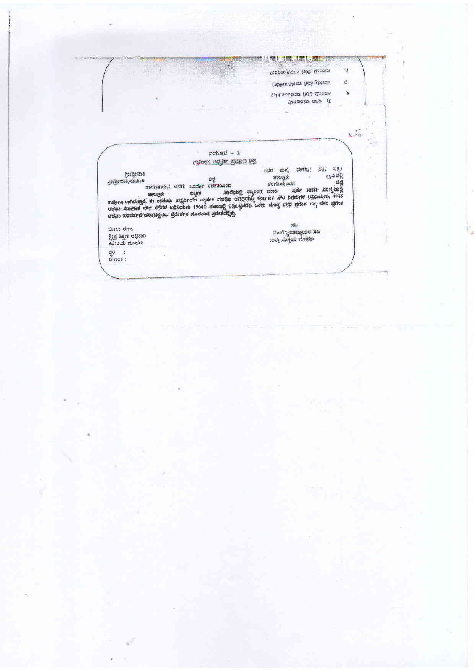| Pobenstace hos ucosita |     |
|------------------------|-----|
| Tibbandkaan hok deteck | "OI |
| troboustage hos docur  | ö   |
| obhasics das (E        |     |

**ANTIQUES AND STREET PRODUCTS** 

ij

 $\epsilon$ 

t.

|                                                             |                                   |              | ನಮೂನೆ $-2$                                                                                                                |                                                                       |                                                  |                                        |
|-------------------------------------------------------------|-----------------------------------|--------------|---------------------------------------------------------------------------------------------------------------------------|-----------------------------------------------------------------------|--------------------------------------------------|----------------------------------------|
|                                                             |                                   |              | ಗ್ರಾಮೀಣ ಅಭ್ಯರ್ಥಿ ಪ್ರಮಾಣ ಪತ್ರ                                                                                              |                                                                       |                                                  |                                        |
| 8:13:004<br>ಹೀ/ಶ್ರೀಮತಿ/ಕುಮಾರಿ                               | ವಾಸವಾಗಿರುವ ಇವರು<br><b>UNCLOSE</b> | ಒಂದನೇ<br>mon | ಚಿಲೆ<br>ddriadootd<br>ಉತ್ತೀರ್ಣರಾಗಿರುತ್ತಾರೆ. ಈ ತಾಲೆಯು ಆಭ್ರರ್ಥಿಯು ವ್ಯಾಸಂಗ ಮಾಡಿದೆ ಅವರಿಯಲ್ಲಿ ಕರ್ನಾಟಕ ಪೌರ ನಿಗಮಗಳ ಅಧಿನಿಯಮ. 1976 | ರವರ<br>ತರಗತಿಯವರೆಗೆ<br>. ತಾಲೆಯಲ್ಲಿ ವ್ಯಾಸಂಗ ಮಾಡಿ ಪರ್ಷ ನಡೆದ ಪರೀಕ್ಷೆಯಲ್ಲಿ | startsto/<br>$\frac{1}{20}n$<br>ತಾಲ್ಲೂಕು         | 253/<br>vis,<br>ಗ್ರಾಮದಲ್ಲಿ<br>- ಜಿಲ್ಲೆ |
| ಅಥವಾ ಪರಿವರ್ತನೆ ಪಂಚದಲ್ಲಿರುವ ಪ್ರದೇಶಗಳ ಹೊರತಾದ ಪ್ರದೇಶದಲ್ಲಿತ್ತು. |                                   |              | cuties started and nonte cononets 1964. cacing norstalist both theory sine sides are sine start                           |                                                                       |                                                  |                                        |
| ಮೇಲು ರುಜು<br>ಕ್ಷೇತ್ರ ಶಿಕ್ಷಣ ಅಧಿಕಾರಿ<br>ಕಛೇರಿಯ ಮೊಹರು         |                                   |              |                                                                                                                           |                                                                       | odk<br>ಮುಖ್ಯೋಪಾಧ್ಯಾಯರ ಸಹಿ<br>ಮತ್ತು ಸಂಸ್ಥೆಯ ಮೊಹರು |                                        |

3FI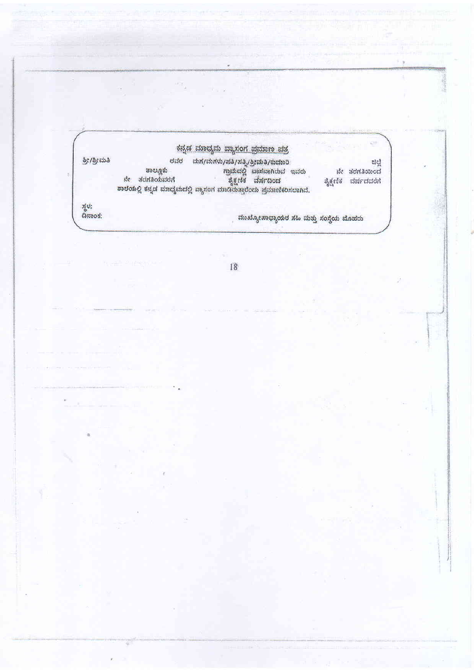## ಕನ್ನಡ ಮಾಧ್ಯಮ ವ್ಯಾಸಂಗ ಪ್ರಮಾಣ ಪತ್ರ

ರವರ ಮಗ/ಮಗಳು/ಪತ್ರಿ/ಶ್ರೀಮತಿ/ಕುಮಾರಿ<br>ತಾಲ್ಲೂಕು ಗ್ರಾಮದಲ್ಲಿ ಪಾಸವಾಗಿರುವ ಇವರು<br>ನೇ ತರಗತಿಯವರೆಗೆ ಸೃಕ್ಷಣಿಕ ವರ್ಷದಿಂದ<br>ಶಾಲೆಯಲ್ಲಿ ಕನ್ನಡ ಮಾಧ್ಯಮದಲ್ಲಿ ಪ್ಯಾಸಂಗ ಮಾಡಿರುತ್ತಾರೆಂದು ಪ್ರಮಾಣಿಕರಿಸಲಾಗಿದೆ. ತ್ರೀ/ತ್ರೀಮತಿ ಟ್ಲಿಟ<br>|<br>|-<br>|-ತೈಕ್ಷಣಿಕ ವರ್ಷದವರೆಗೆ

ಸ್ಥಳ:<br>ದಿನಾಂಕ:

ಮುಖ್ಯೋಪಾಧ್ಯಾಯರ ಸಹಿ ಮತ್ತು ಸಂಸ್ಥೆಯ ಮೊಹರು

18